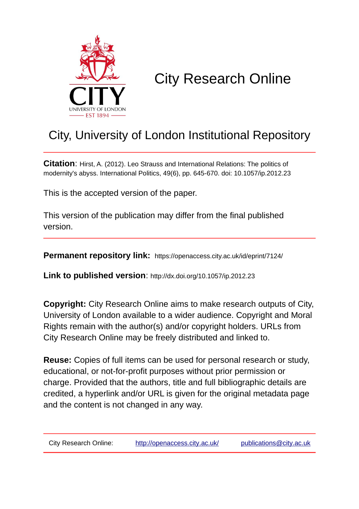

# City Research Online

# City, University of London Institutional Repository

**Citation**: Hirst, A. (2012). Leo Strauss and International Relations: The politics of modernity's abyss. International Politics, 49(6), pp. 645-670. doi: 10.1057/ip.2012.23

This is the accepted version of the paper.

This version of the publication may differ from the final published version.

**Permanent repository link:** https://openaccess.city.ac.uk/id/eprint/7124/

**Link to published version**: http://dx.doi.org/10.1057/ip.2012.23

**Copyright:** City Research Online aims to make research outputs of City, University of London available to a wider audience. Copyright and Moral Rights remain with the author(s) and/or copyright holders. URLs from City Research Online may be freely distributed and linked to.

**Reuse:** Copies of full items can be used for personal research or study, educational, or not-for-profit purposes without prior permission or charge. Provided that the authors, title and full bibliographic details are credited, a hyperlink and/or URL is given for the original metadata page and the content is not changed in any way.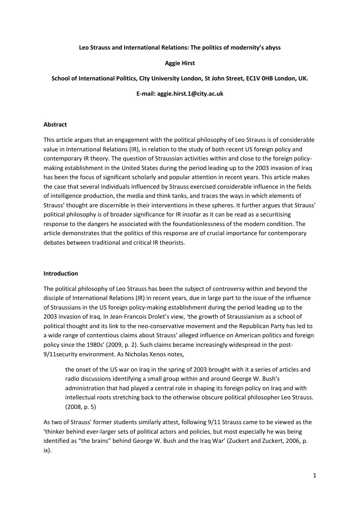#### **Leo Strauss and International Relations: The politics of modernity's abyss**

#### **Aggie Hirst**

#### **School of International Politics, City University London, St John Street, EC1V 0HB London, UK.**

**E-mail: aggie.hirst.1@city.ac.uk**

#### **Abstract**

This article argues that an engagement with the political philosophy of Leo Strauss is of considerable value in International Relations (IR), in relation to the study of both recent US foreign policy and contemporary IR theory. The question of Straussian activities within and close to the foreign policymaking establishment in the United States during the period leading up to the 2003 invasion of Iraq has been the focus of significant scholarly and popular attention in recent years. This article makes the case that several individuals influenced by Strauss exercised considerable influence in the fields of intelligence production, the media and think tanks, and traces the ways in which elements of Strauss' thought are discernible in their interventions in these spheres. It further argues that Strauss' political philosophy is of broader significance for IR insofar as it can be read as a securitising response to the dangers he associated with the foundationlessness of the modern condition. The article demonstrates that the politics of this response are of crucial importance for contemporary debates between traditional and critical IR theorists.

#### **Introduction**

The political philosophy of Leo Strauss has been the subject of controversy within and beyond the disciple of International Relations (IR) in recent years, due in large part to the issue of the influence of Straussians in the US foreign policy-making establishment during the period leading up to the 2003 invasion of Iraq. In Jean-Francois Drolet's view, 'the growth of Straussianism as a school of political thought and its link to the neo-conservative movement and the Republican Party has led to a wide range of contentious claims about Strauss' alleged influence on American politics and foreign policy since the 1980s' (2009, p. 2). Such claims became increasingly widespread in the post-9/11security environment. As Nicholas Xenos notes,

the onset of the US war on Iraq in the spring of 2003 brought with it a series of articles and radio discussions identifying a small group within and around George W. Bush's administration that had played a central role in shaping its foreign policy on Iraq and with intellectual roots stretching back to the otherwise obscure political philosopher Leo Strauss. (2008, p. 5)

As two of Strauss' former students similarly attest, following 9/11 Strauss came to be viewed as the 'thinker behind ever-larger sets of political actors and policies, but most especially he was being identified as "the brains" behind George W. Bush and the Iraq War' (Zuckert and Zuckert, 2006, p. ix).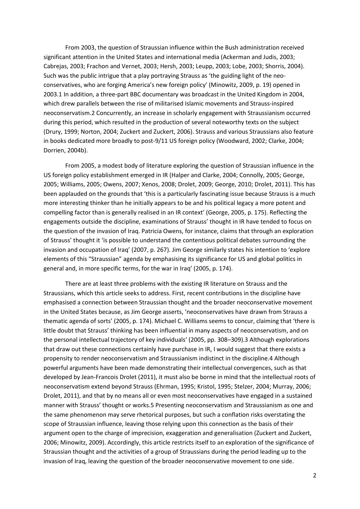From 2003, the question of Straussian influence within the Bush administration received significant attention in the United States and international media (Ackerman and Judis, 2003; Cabrejas, 2003; Frachon and Vernet, 2003; Hersh, 2003; Leupp, 2003; Lobe, 2003; Shorris, 2004). Such was the public intrigue that a play portraying Strauss as 'the guiding light of the neoconservatives, who are forging America's new foreign policy' (Minowitz, 2009, p. 19) opened in 2003.1 In addition, a three-part BBC documentary was broadcast in the United Kingdom in 2004, which drew parallels between the rise of militarised Islamic movements and Strauss-inspired neoconservatism.2 Concurrently, an increase in scholarly engagement with Straussianism occurred during this period, which resulted in the production of several noteworthy texts on the subject (Drury, 1999; Norton, 2004; Zuckert and Zuckert, 2006). Strauss and various Straussians also feature in books dedicated more broadly to post-9/11 US foreign policy (Woodward, 2002; Clarke, 2004; Dorrien, 2004b).

From 2005, a modest body of literature exploring the question of Straussian influence in the US foreign policy establishment emerged in IR (Halper and Clarke, 2004; Connolly, 2005; George, 2005; Williams, 2005; Owens, 2007; Xenos, 2008; Drolet, 2009; George, 2010; Drolet, 2011). This has been applauded on the grounds that 'this is a particularly fascinating issue because Strauss is a much more interesting thinker than he initially appears to be and his political legacy a more potent and compelling factor than is generally realised in an IR context' (George, 2005, p. 175). Reflecting the engagements outside the discipline, examinations of Strauss' thought in IR have tended to focus on the question of the invasion of Iraq. Patricia Owens, for instance, claims that through an exploration of Strauss' thought it 'is possible to understand the contentious political debates surrounding the invasion and occupation of Iraq' (2007, p. 267). Jim George similarly states his intention to 'explore elements of this "Straussian" agenda by emphasising its significance for US and global politics in general and, in more specific terms, for the war in Iraq' (2005, p. 174).

There are at least three problems with the existing IR literature on Strauss and the Straussians, which this article seeks to address. First, recent contributions in the discipline have emphasised a connection between Straussian thought and the broader neoconservative movement in the United States because, as Jim George asserts, 'neoconservatives have drawn from Strauss a thematic agenda of sorts' (2005, p. 174). Michael C. Williams seems to concur, claiming that 'there is little doubt that Strauss' thinking has been influential in many aspects of neoconservatism, and on the personal intellectual trajectory of key individuals' (2005, pp. 308–309).3 Although explorations that draw out these connections certainly have purchase in IR, I would suggest that there exists a propensity to render neoconservatism and Straussianism indistinct in the discipline.4 Although powerful arguments have been made demonstrating their intellectual convergences, such as that developed by Jean-Francois Drolet (2011), it must also be borne in mind that the intellectual roots of neoconservatism extend beyond Strauss (Ehrman, 1995; Kristol, 1995; Stelzer, 2004; Murray, 2006; Drolet, 2011), and that by no means all or even most neoconservatives have engaged in a sustained manner with Strauss' thought or works.5 Presenting neoconservatism and Straussianism as one and the same phenomenon may serve rhetorical purposes, but such a conflation risks overstating the scope of Straussian influence, leaving those relying upon this connection as the basis of their argument open to the charge of imprecision, exaggeration and generalisation (Zuckert and Zuckert, 2006; Minowitz, 2009). Accordingly, this article restricts itself to an exploration of the significance of Straussian thought and the activities of a group of Straussians during the period leading up to the invasion of Iraq, leaving the question of the broader neoconservative movement to one side.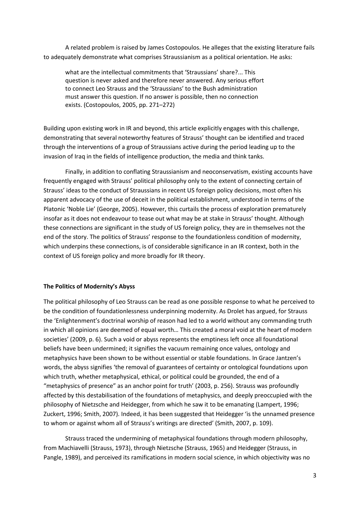A related problem is raised by James Costopoulos. He alleges that the existing literature fails to adequately demonstrate what comprises Straussianism as a political orientation. He asks:

what are the intellectual commitments that 'Straussians' share?... This question is never asked and therefore never answered. Any serious effort to connect Leo Strauss and the 'Straussians' to the Bush administration must answer this question. If no answer is possible, then no connection exists. (Costopoulos, 2005, pp. 271–272)

Building upon existing work in IR and beyond, this article explicitly engages with this challenge, demonstrating that several noteworthy features of Strauss' thought can be identified and traced through the interventions of a group of Straussians active during the period leading up to the invasion of Iraq in the fields of intelligence production, the media and think tanks.

Finally, in addition to conflating Straussianism and neoconservatism, existing accounts have frequently engaged with Strauss' political philosophy only to the extent of connecting certain of Strauss' ideas to the conduct of Straussians in recent US foreign policy decisions, most often his apparent advocacy of the use of deceit in the political establishment, understood in terms of the Platonic 'Noble Lie' (George, 2005). However, this curtails the process of exploration prematurely insofar as it does not endeavour to tease out what may be at stake in Strauss' thought. Although these connections are significant in the study of US foreign policy, they are in themselves not the end of the story. The politics of Strauss' response to the foundationless condition of modernity, which underpins these connections, is of considerable significance in an IR context, both in the context of US foreign policy and more broadly for IR theory.

#### **The Politics of Modernity's Abyss**

The political philosophy of Leo Strauss can be read as one possible response to what he perceived to be the condition of foundationlessness underpinning modernity. As Drolet has argued, for Strauss the 'Enlightenment's doctrinal worship of reason had led to a world without any commanding truth in which all opinions are deemed of equal worth… This created a moral void at the heart of modern societies' (2009, p. 6). Such a void or abyss represents the emptiness left once all foundational beliefs have been undermined; it signifies the vacuum remaining once values, ontology and metaphysics have been shown to be without essential or stable foundations. In Grace Jantzen's words, the abyss signifies 'the removal of guarantees of certainty or ontological foundations upon which truth, whether metaphysical, ethical, or political could be grounded, the end of a "metaphysics of presence" as an anchor point for truth' (2003, p. 256). Strauss was profoundly affected by this destabilisation of the foundations of metaphysics, and deeply preoccupied with the philosophy of Nietzsche and Heidegger, from which he saw it to be emanating (Lampert, 1996; Zuckert, 1996; Smith, 2007). Indeed, it has been suggested that Heidegger 'is the unnamed presence to whom or against whom all of Strauss's writings are directed' (Smith, 2007, p. 109).

Strauss traced the undermining of metaphysical foundations through modern philosophy, from Machiavelli (Strauss, 1973), through Nietzsche (Strauss, 1965) and Heidegger (Strauss, in Pangle, 1989), and perceived its ramifications in modern social science, in which objectivity was no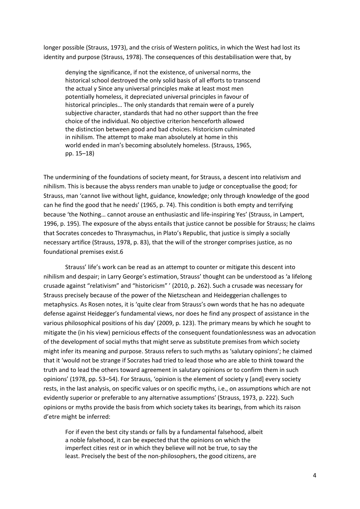longer possible (Strauss, 1973), and the crisis of Western politics, in which the West had lost its identity and purpose (Strauss, 1978). The consequences of this destabilisation were that, by

denying the significance, if not the existence, of universal norms, the historical school destroyed the only solid basis of all efforts to transcend the actual y Since any universal principles make at least most men potentially homeless, it depreciated universal principles in favour of historical principles… The only standards that remain were of a purely subjective character, standards that had no other support than the free choice of the individual. No objective criterion henceforth allowed the distinction between good and bad choices. Historicism culminated in nihilism. The attempt to make man absolutely at home in this world ended in man's becoming absolutely homeless. (Strauss, 1965, pp. 15–18)

The undermining of the foundations of society meant, for Strauss, a descent into relativism and nihilism. This is because the abyss renders man unable to judge or conceptualise the good; for Strauss, man 'cannot live without light, guidance, knowledge; only through knowledge of the good can he find the good that he needs' (1965, p. 74). This condition is both empty and terrifying because 'the Nothing… cannot arouse an enthusiastic and life-inspiring Yes' (Strauss, in Lampert, 1996, p. 195). The exposure of the abyss entails that justice cannot be possible for Strauss; he claims that Socrates concedes to Thrasymachus, in Plato's Republic, that justice is simply a socially necessary artifice (Strauss, 1978, p. 83), that the will of the stronger comprises justice, as no foundational premises exist.6

Strauss' life's work can be read as an attempt to counter or mitigate this descent into nihilism and despair; in Larry George's estimation, Strauss' thought can be understood as 'a lifelong crusade against "relativism" and "historicism" ' (2010, p. 262). Such a crusade was necessary for Strauss precisely because of the power of the Nietzschean and Heideggerian challenges to metaphysics. As Rosen notes, it is 'quite clear from Strauss's own words that he has no adequate defense against Heidegger's fundamental views, nor does he find any prospect of assistance in the various philosophical positions of his day' (2009, p. 123). The primary means by which he sought to mitigate the (in his view) pernicious effects of the consequent foundationlessness was an advocation of the development of social myths that might serve as substitute premises from which society might infer its meaning and purpose. Strauss refers to such myths as 'salutary opinions'; he claimed that it 'would not be strange if Socrates had tried to lead those who are able to think toward the truth and to lead the others toward agreement in salutary opinions or to confirm them in such opinions' (1978, pp. 53–54). For Strauss, 'opinion is the element of society y [and] every society rests, in the last analysis, on specific values or on specific myths, i.e., on assumptions which are not evidently superior or preferable to any alternative assumptions' (Strauss, 1973, p. 222). Such opinions or myths provide the basis from which society takes its bearings, from which its raison d'etre might be inferred:

For if even the best city stands or falls by a fundamental falsehood, albeit a noble falsehood, it can be expected that the opinions on which the imperfect cities rest or in which they believe will not be true, to say the least. Precisely the best of the non-philosophers, the good citizens, are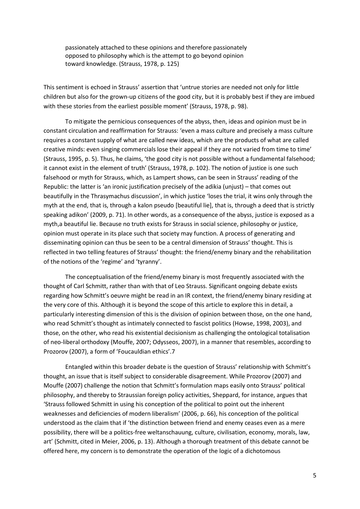passionately attached to these opinions and therefore passionately opposed to philosophy which is the attempt to go beyond opinion toward knowledge. (Strauss, 1978, p. 125)

This sentiment is echoed in Strauss' assertion that 'untrue stories are needed not only for little children but also for the grown-up citizens of the good city, but it is probably best if they are imbued with these stories from the earliest possible moment' (Strauss, 1978, p. 98).

To mitigate the pernicious consequences of the abyss, then, ideas and opinion must be in constant circulation and reaffirmation for Strauss: 'even a mass culture and precisely a mass culture requires a constant supply of what are called new ideas, which are the products of what are called creative minds: even singing commercials lose their appeal if they are not varied from time to time' (Strauss, 1995, p. 5). Thus, he claims, 'the good city is not possible without a fundamental falsehood; it cannot exist in the element of truth' (Strauss, 1978, p. 102). The notion of justice is one such falsehood or myth for Strauss, which, as Lampert shows, can be seen in Strauss' reading of the Republic: the latter is 'an ironic justification precisely of the adikia (unjust) – that comes out beautifully in the Thrasymachus discussion', in which justice 'loses the trial, it wins only through the myth at the end, that is, through a kalon pseudo [beautiful lie], that is, through a deed that is strictly speaking adikon' (2009, p. 71). In other words, as a consequence of the abyss, justice is exposed as a myth,a beautiful lie. Because no truth exists for Strauss in social science, philosophy or justice, opinion must operate in its place such that society may function. A process of generating and disseminating opinion can thus be seen to be a central dimension of Strauss' thought. This is reflected in two telling features of Strauss' thought: the friend/enemy binary and the rehabilitation of the notions of the 'regime' and 'tyranny'.

The conceptualisation of the friend/enemy binary is most frequently associated with the thought of Carl Schmitt, rather than with that of Leo Strauss. Significant ongoing debate exists regarding how Schmitt's oeuvre might be read in an IR context, the friend/enemy binary residing at the very core of this. Although it is beyond the scope of this article to explore this in detail, a particularly interesting dimension of this is the division of opinion between those, on the one hand, who read Schmitt's thought as intimately connected to fascist politics (Howse, 1998, 2003), and those, on the other, who read his existential decisionism as challenging the ontological totalisation of neo-liberal orthodoxy (Mouffe, 2007; Odysseos, 2007), in a manner that resembles, according to Prozorov (2007), a form of 'Foucauldian ethics'.7

Entangled within this broader debate is the question of Strauss' relationship with Schmitt's thought, an issue that is itself subject to considerable disagreement. While Prozorov (2007) and Mouffe (2007) challenge the notion that Schmitt's formulation maps easily onto Strauss' political philosophy, and thereby to Straussian foreign policy activities, Sheppard, for instance, argues that 'Strauss followed Schmitt in using his conception of the political to point out the inherent weaknesses and deficiencies of modern liberalism' (2006, p. 66), his conception of the political understood as the claim that if 'the distinction between friend and enemy ceases even as a mere possibility, there will be a politics-free weltanschauung, culture, civilisation, economy, morals, law, art' (Schmitt, cited in Meier, 2006, p. 13). Although a thorough treatment of this debate cannot be offered here, my concern is to demonstrate the operation of the logic of a dichotomous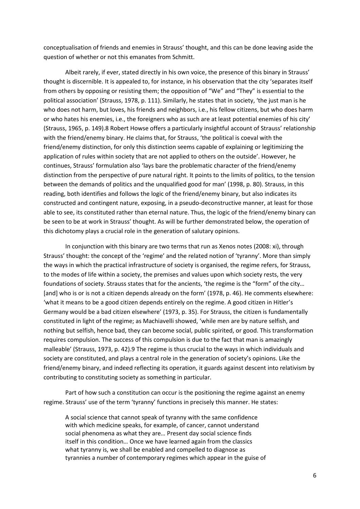conceptualisation of friends and enemies in Strauss' thought, and this can be done leaving aside the question of whether or not this emanates from Schmitt.

Albeit rarely, if ever, stated directly in his own voice, the presence of this binary in Strauss' thought is discernible. It is appealed to, for instance, in his observation that the city 'separates itself from others by opposing or resisting them; the opposition of "We" and "They" is essential to the political association' (Strauss, 1978, p. 111). Similarly, he states that in society, 'the just man is he who does not harm, but loves, his friends and neighbors, i.e., his fellow citizens, but who does harm or who hates his enemies, i.e., the foreigners who as such are at least potential enemies of his city' (Strauss, 1965, p. 149).8 Robert Howse offers a particularly insightful account of Strauss' relationship with the friend/enemy binary. He claims that, for Strauss, 'the political is coeval with the friend/enemy distinction, for only this distinction seems capable of explaining or legitimizing the application of rules within society that are not applied to others on the outside'. However, he continues, Strauss' formulation also 'lays bare the problematic character of the friend/enemy distinction from the perspective of pure natural right. It points to the limits of politics, to the tension between the demands of politics and the unqualified good for man' (1998, p. 80). Strauss, in this reading, both identifies and follows the logic of the friend/enemy binary, but also indicates its constructed and contingent nature, exposing, in a pseudo-deconstructive manner, at least for those able to see, its constituted rather than eternal nature. Thus, the logic of the friend/enemy binary can be seen to be at work in Strauss' thought. As will be further demonstrated below, the operation of this dichotomy plays a crucial role in the generation of salutary opinions.

In conjunction with this binary are two terms that run as Xenos notes (2008: xi), through Strauss' thought: the concept of the 'regime' and the related notion of 'tyranny'. More than simply the ways in which the practical infrastructure of society is organised, the regime refers, for Strauss, to the modes of life within a society, the premises and values upon which society rests, the very foundations of society. Strauss states that for the ancients, 'the regime is the "form" of the city… [and] who is or is not a citizen depends already on the form' (1978, p. 46). He comments elsewhere: 'what it means to be a good citizen depends entirely on the regime. A good citizen in Hitler's Germany would be a bad citizen elsewhere' (1973, p. 35). For Strauss, the citizen is fundamentally constituted in light of the regime; as Machiavelli showed, 'while men are by nature selfish, and nothing but selfish, hence bad, they can become social, public spirited, or good. This transformation requires compulsion. The success of this compulsion is due to the fact that man is amazingly malleable' (Strauss, 1973, p. 42).9 The regime is thus crucial to the ways in which individuals and society are constituted, and plays a central role in the generation of society's opinions. Like the friend/enemy binary, and indeed reflecting its operation, it guards against descent into relativism by contributing to constituting society as something in particular.

Part of how such a constitution can occur is the positioning the regime against an enemy regime. Strauss' use of the term 'tyranny' functions in precisely this manner. He states:

A social science that cannot speak of tyranny with the same confidence with which medicine speaks, for example, of cancer, cannot understand social phenomena as what they are… Present day social science finds itself in this condition… Once we have learned again from the classics what tyranny is, we shall be enabled and compelled to diagnose as tyrannies a number of contemporary regimes which appear in the guise of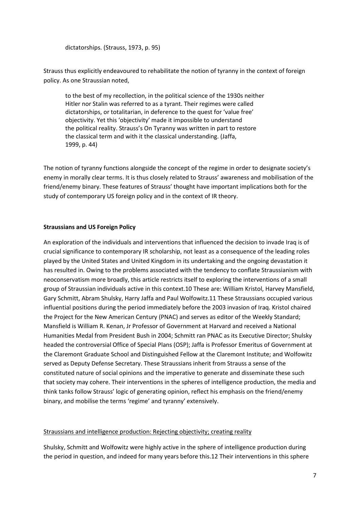dictatorships. (Strauss, 1973, p. 95)

Strauss thus explicitly endeavoured to rehabilitate the notion of tyranny in the context of foreign policy. As one Straussian noted,

to the best of my recollection, in the political science of the 1930s neither Hitler nor Stalin was referred to as a tyrant. Their regimes were called dictatorships, or totalitarian, in deference to the quest for 'value free' objectivity. Yet this 'objectivity' made it impossible to understand the political reality. Strauss's On Tyranny was written in part to restore the classical term and with it the classical understanding. (Jaffa, 1999, p. 44)

The notion of tyranny functions alongside the concept of the regime in order to designate society's enemy in morally clear terms. It is thus closely related to Strauss' awareness and mobilisation of the friend/enemy binary. These features of Strauss' thought have important implications both for the study of contemporary US foreign policy and in the context of IR theory.

## **Straussians and US Foreign Policy**

An exploration of the individuals and interventions that influenced the decision to invade Iraq is of crucial significance to contemporary IR scholarship, not least as a consequence of the leading roles played by the United States and United Kingdom in its undertaking and the ongoing devastation it has resulted in. Owing to the problems associated with the tendency to conflate Straussianism with neoconservatism more broadly, this article restricts itself to exploring the interventions of a small group of Straussian individuals active in this context.10 These are: William Kristol, Harvey Mansfield, Gary Schmitt, Abram Shulsky, Harry Jaffa and Paul Wolfowitz.11 These Straussians occupied various influential positions during the period immediately before the 2003 invasion of Iraq. Kristol chaired the Project for the New American Century (PNAC) and serves as editor of the Weekly Standard; Mansfield is William R. Kenan, Jr Professor of Government at Harvard and received a National Humanities Medal from President Bush in 2004; Schmitt ran PNAC as its Executive Director; Shulsky headed the controversial Office of Special Plans (OSP); Jaffa is Professor Emeritus of Government at the Claremont Graduate School and Distinguished Fellow at the Claremont Institute; and Wolfowitz served as Deputy Defense Secretary. These Straussians inherit from Strauss a sense of the constituted nature of social opinions and the imperative to generate and disseminate these such that society may cohere. Their interventions in the spheres of intelligence production, the media and think tanks follow Strauss' logic of generating opinion, reflect his emphasis on the friend/enemy binary, and mobilise the terms 'regime' and tyranny' extensively.

#### Straussians and intelligence production: Rejecting objectivity; creating reality

Shulsky, Schmitt and Wolfowitz were highly active in the sphere of intelligence production during the period in question, and indeed for many years before this.12 Their interventions in this sphere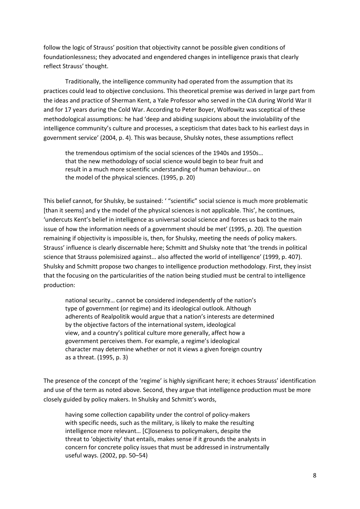follow the logic of Strauss' position that objectivity cannot be possible given conditions of foundationlessness; they advocated and engendered changes in intelligence praxis that clearly reflect Strauss' thought.

Traditionally, the intelligence community had operated from the assumption that its practices could lead to objective conclusions. This theoretical premise was derived in large part from the ideas and practice of Sherman Kent, a Yale Professor who served in the CIA during World War II and for 17 years during the Cold War. According to Peter Boyer, Wolfowitz was sceptical of these methodological assumptions: he had 'deep and abiding suspicions about the inviolability of the intelligence community's culture and processes, a scepticism that dates back to his earliest days in government service' (2004, p. 4). This was because, Shulsky notes, these assumptions reflect

the tremendous optimism of the social sciences of the 1940s and 1950s… that the new methodology of social science would begin to bear fruit and result in a much more scientific understanding of human behaviour… on the model of the physical sciences. (1995, p. 20)

This belief cannot, for Shulsky, be sustained: ' "scientific" social science is much more problematic [than it seems] and y the model of the physical sciences is not applicable. This', he continues, 'undercuts Kent's belief in intelligence as universal social science and forces us back to the main issue of how the information needs of a government should be met' (1995, p. 20). The question remaining if objectivity is impossible is, then, for Shulsky, meeting the needs of policy makers. Strauss' influence is clearly discernable here; Schmitt and Shulsky note that 'the trends in political science that Strauss polemisized against… also affected the world of intelligence' (1999, p. 407). Shulsky and Schmitt propose two changes to intelligence production methodology. First, they insist that the focusing on the particularities of the nation being studied must be central to intelligence production:

national security… cannot be considered independently of the nation's type of government (or regime) and its ideological outlook. Although adherents of Realpolitik would argue that a nation's interests are determined by the objective factors of the international system, ideological view, and a country's political culture more generally, affect how a government perceives them. For example, a regime's ideological character may determine whether or not it views a given foreign country as a threat. (1995, p. 3)

The presence of the concept of the 'regime' is highly significant here; it echoes Strauss' identification and use of the term as noted above. Second, they argue that intelligence production must be more closely guided by policy makers. In Shulsky and Schmitt's words,

having some collection capability under the control of policy-makers with specific needs, such as the military, is likely to make the resulting intelligence more relevant… [C]loseness to policymakers, despite the threat to 'objectivity' that entails, makes sense if it grounds the analysts in concern for concrete policy issues that must be addressed in instrumentally useful ways. (2002, pp. 50–54)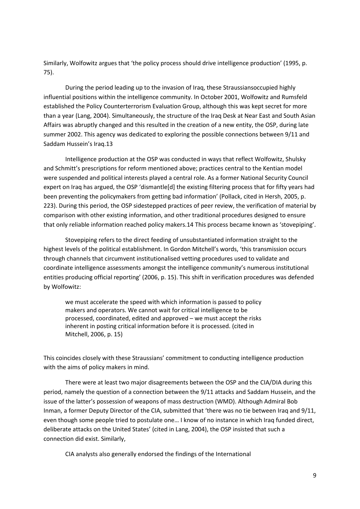Similarly, Wolfowitz argues that 'the policy process should drive intelligence production' (1995, p. 75).

During the period leading up to the invasion of Iraq, these Straussiansoccupied highly influential positions within the intelligence community. In October 2001, Wolfowitz and Rumsfeld established the Policy Counterterrorism Evaluation Group, although this was kept secret for more than a year (Lang, 2004). Simultaneously, the structure of the Iraq Desk at Near East and South Asian Affairs was abruptly changed and this resulted in the creation of a new entity, the OSP, during late summer 2002. This agency was dedicated to exploring the possible connections between 9/11 and Saddam Hussein's Iraq.13

Intelligence production at the OSP was conducted in ways that reflect Wolfowitz, Shulsky and Schmitt's prescriptions for reform mentioned above; practices central to the Kentian model were suspended and political interests played a central role. As a former National Security Council expert on Iraq has argued, the OSP 'dismantle[d] the existing filtering process that for fifty years had been preventing the policymakers from getting bad information' (Pollack, cited in Hersh, 2005, p. 223). During this period, the OSP sidestepped practices of peer review, the verification of material by comparison with other existing information, and other traditional procedures designed to ensure that only reliable information reached policy makers.14 This process became known as 'stovepiping'.

Stovepiping refers to the direct feeding of unsubstantiated information straight to the highest levels of the political establishment. In Gordon Mitchell's words, 'this transmission occurs through channels that circumvent institutionalised vetting procedures used to validate and coordinate intelligence assessments amongst the intelligence community's numerous institutional entities producing official reporting' (2006, p. 15). This shift in verification procedures was defended by Wolfowitz:

we must accelerate the speed with which information is passed to policy makers and operators. We cannot wait for critical intelligence to be processed, coordinated, edited and approved – we must accept the risks inherent in posting critical information before it is processed. (cited in Mitchell, 2006, p. 15)

This coincides closely with these Straussians' commitment to conducting intelligence production with the aims of policy makers in mind.

There were at least two major disagreements between the OSP and the CIA/DIA during this period, namely the question of a connection between the 9/11 attacks and Saddam Hussein, and the issue of the latter's possession of weapons of mass destruction (WMD). Although Admiral Bob Inman, a former Deputy Director of the CIA, submitted that 'there was no tie between Iraq and 9/11, even though some people tried to postulate one… I know of no instance in which Iraq funded direct, deliberate attacks on the United States' (cited in Lang, 2004), the OSP insisted that such a connection did exist. Similarly,

CIA analysts also generally endorsed the findings of the International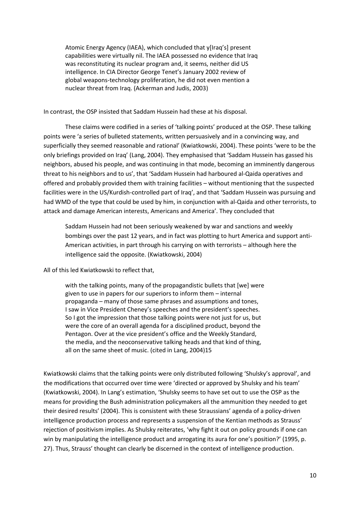Atomic Energy Agency (IAEA), which concluded that y[Iraq's] present capabilities were virtually nil. The IAEA possessed no evidence that Iraq was reconstituting its nuclear program and, it seems, neither did US intelligence. In CIA Director George Tenet's January 2002 review of global weapons-technology proliferation, he did not even mention a nuclear threat from Iraq. (Ackerman and Judis, 2003)

In contrast, the OSP insisted that Saddam Hussein had these at his disposal.

These claims were codified in a series of 'talking points' produced at the OSP. These talking points were 'a series of bulleted statements, written persuasively and in a convincing way, and superficially they seemed reasonable and rational' (Kwiatkowski, 2004). These points 'were to be the only briefings provided on Iraq' (Lang, 2004). They emphasised that 'Saddam Hussein has gassed his neighbors, abused his people, and was continuing in that mode, becoming an imminently dangerous threat to his neighbors and to us', that 'Saddam Hussein had harboured al-Qaida operatives and offered and probably provided them with training facilities – without mentioning that the suspected facilities were in the US/Kurdish-controlled part of Iraq', and that 'Saddam Hussein was pursuing and had WMD of the type that could be used by him, in conjunction with al-Qaida and other terrorists, to attack and damage American interests, Americans and America'. They concluded that

Saddam Hussein had not been seriously weakened by war and sanctions and weekly bombings over the past 12 years, and in fact was plotting to hurt America and support anti-American activities, in part through his carrying on with terrorists – although here the intelligence said the opposite. (Kwiatkowski, 2004)

All of this led Kwiatkowski to reflect that,

with the talking points, many of the propagandistic bullets that [we] were given to use in papers for our superiors to inform them – internal propaganda – many of those same phrases and assumptions and tones, I saw in Vice President Cheney's speeches and the president's speeches. So I got the impression that those talking points were not just for us, but were the core of an overall agenda for a disciplined product, beyond the Pentagon. Over at the vice president's office and the Weekly Standard, the media, and the neoconservative talking heads and that kind of thing, all on the same sheet of music. (cited in Lang, 2004)15

Kwiatkowski claims that the talking points were only distributed following 'Shulsky's approval', and the modifications that occurred over time were 'directed or approved by Shulsky and his team' (Kwiatkowski, 2004). In Lang's estimation, 'Shulsky seems to have set out to use the OSP as the means for providing the Bush administration policymakers all the ammunition they needed to get their desired results' (2004). This is consistent with these Straussians' agenda of a policy-driven intelligence production process and represents a suspension of the Kentian methods as Strauss' rejection of positivism implies. As Shulsky reiterates, 'why fight it out on policy grounds if one can win by manipulating the intelligence product and arrogating its aura for one's position?' (1995, p. 27). Thus, Strauss' thought can clearly be discerned in the context of intelligence production.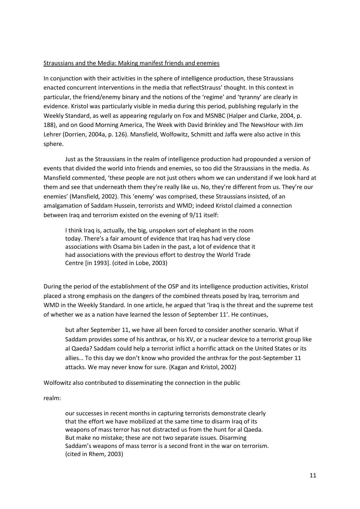#### Straussians and the Media: Making manifest friends and enemies

In conjunction with their activities in the sphere of intelligence production, these Straussians enacted concurrent interventions in the media that reflectStrauss' thought. In this context in particular, the friend/enemy binary and the notions of the 'regime' and 'tyranny' are clearly in evidence. Kristol was particularly visible in media during this period, publishing regularly in the Weekly Standard, as well as appearing regularly on Fox and MSNBC (Halper and Clarke, 2004, p. 188), and on Good Morning America, The Week with David Brinkley and The NewsHour with Jim Lehrer (Dorrien, 2004a, p. 126). Mansfield, Wolfowitz, Schmitt and Jaffa were also active in this sphere.

Just as the Straussians in the realm of intelligence production had propounded a version of events that divided the world into friends and enemies, so too did the Straussians in the media. As Mansfield commented, 'these people are not just others whom we can understand if we look hard at them and see that underneath them they're really like us. No, they're different from us. They're our enemies' (Mansfield, 2002). This 'enemy' was comprised, these Straussians insisted, of an amalgamation of Saddam Hussein, terrorists and WMD; indeed Kristol claimed a connection between Iraq and terrorism existed on the evening of 9/11 itself:

I think Iraq is, actually, the big, unspoken sort of elephant in the room today. There's a fair amount of evidence that Iraq has had very close associations with Osama bin Laden in the past, a lot of evidence that it had associations with the previous effort to destroy the World Trade Centre [in 1993]. (cited in Lobe, 2003)

During the period of the establishment of the OSP and its intelligence production activities, Kristol placed a strong emphasis on the dangers of the combined threats posed by Iraq, terrorism and WMD in the Weekly Standard. In one article, he argued that 'Iraq is the threat and the supreme test of whether we as a nation have learned the lesson of September 11'. He continues,

but after September 11, we have all been forced to consider another scenario. What if Saddam provides some of his anthrax, or his XV, or a nuclear device to a terrorist group like al Qaeda? Saddam could help a terrorist inflict a horrific attack on the United States or its allies… To this day we don't know who provided the anthrax for the post-September 11 attacks. We may never know for sure. (Kagan and Kristol, 2002)

Wolfowitz also contributed to disseminating the connection in the public

realm:

our successes in recent months in capturing terrorists demonstrate clearly that the effort we have mobilized at the same time to disarm Iraq of its weapons of mass terror has not distracted us from the hunt for al Qaeda. But make no mistake; these are not two separate issues. Disarming Saddam's weapons of mass terror is a second front in the war on terrorism. (cited in Rhem, 2003)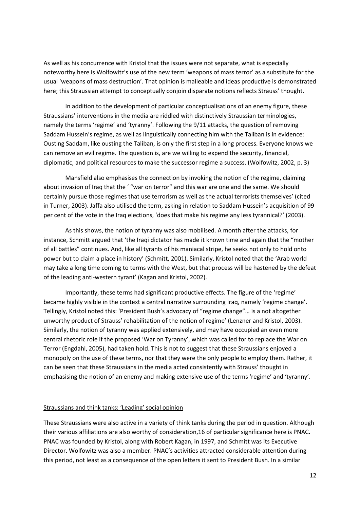As well as his concurrence with Kristol that the issues were not separate, what is especially noteworthy here is Wolfowitz's use of the new term 'weapons of mass terror' as a substitute for the usual 'weapons of mass destruction'. That opinion is malleable and ideas productive is demonstrated here; this Straussian attempt to conceptually conjoin disparate notions reflects Strauss' thought.

In addition to the development of particular conceptualisations of an enemy figure, these Straussians' interventions in the media are riddled with distinctively Straussian terminologies, namely the terms 'regime' and 'tyranny'. Following the 9/11 attacks, the question of removing Saddam Hussein's regime, as well as linguistically connecting him with the Taliban is in evidence: Ousting Saddam, like ousting the Taliban, is only the first step in a long process. Everyone knows we can remove an evil regime. The question is, are we willing to expend the security, financial, diplomatic, and political resources to make the successor regime a success. (Wolfowitz, 2002, p. 3)

Mansfield also emphasises the connection by invoking the notion of the regime, claiming about invasion of Iraq that the ' "war on terror" and this war are one and the same. We should certainly pursue those regimes that use terrorism as well as the actual terrorists themselves' (cited in Turner, 2003). Jaffa also utilised the term, asking in relation to Saddam Hussein's acquisition of 99 per cent of the vote in the Iraq elections, 'does that make his regime any less tyrannical?' (2003).

As this shows, the notion of tyranny was also mobilised. A month after the attacks, for instance, Schmitt argued that 'the Iraqi dictator has made it known time and again that the "mother of all battles" continues. And, like all tyrants of his maniacal stripe, he seeks not only to hold onto power but to claim a place in history' (Schmitt, 2001). Similarly, Kristol noted that the 'Arab world may take a long time coming to terms with the West, but that process will be hastened by the defeat of the leading anti-western tyrant' (Kagan and Kristol, 2002).

Importantly, these terms had significant productive effects. The figure of the 'regime' became highly visible in the context a central narrative surrounding Iraq, namely 'regime change'. Tellingly, Kristol noted this: 'President Bush's advocacy of "regime change"… is a not altogether unworthy product of Strauss' rehabilitation of the notion of regime' (Lenzner and Kristol, 2003). Similarly, the notion of tyranny was applied extensively, and may have occupied an even more central rhetoric role if the proposed 'War on Tyranny', which was called for to replace the War on Terror (Engdahl, 2005), had taken hold. This is not to suggest that these Straussians enjoyed a monopoly on the use of these terms, nor that they were the only people to employ them. Rather, it can be seen that these Straussians in the media acted consistently with Strauss' thought in emphasising the notion of an enemy and making extensive use of the terms 'regime' and 'tyranny'.

#### Straussians and think tanks: 'Leading' social opinion

These Straussians were also active in a variety of think tanks during the period in question. Although their various affiliations are also worthy of consideration,16 of particular significance here is PNAC. PNAC was founded by Kristol, along with Robert Kagan, in 1997, and Schmitt was its Executive Director. Wolfowitz was also a member. PNAC's activities attracted considerable attention during this period, not least as a consequence of the open letters it sent to President Bush. In a similar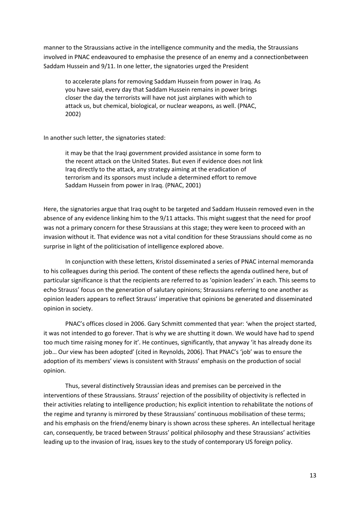manner to the Straussians active in the intelligence community and the media, the Straussians involved in PNAC endeavoured to emphasise the presence of an enemy and a connectionbetween Saddam Hussein and 9/11. In one letter, the signatories urged the President

to accelerate plans for removing Saddam Hussein from power in Iraq. As you have said, every day that Saddam Hussein remains in power brings closer the day the terrorists will have not just airplanes with which to attack us, but chemical, biological, or nuclear weapons, as well. (PNAC, 2002)

In another such letter, the signatories stated:

it may be that the Iraqi government provided assistance in some form to the recent attack on the United States. But even if evidence does not link Iraq directly to the attack, any strategy aiming at the eradication of terrorism and its sponsors must include a determined effort to remove Saddam Hussein from power in Iraq. (PNAC, 2001)

Here, the signatories argue that Iraq ought to be targeted and Saddam Hussein removed even in the absence of any evidence linking him to the 9/11 attacks. This might suggest that the need for proof was not a primary concern for these Straussians at this stage; they were keen to proceed with an invasion without it. That evidence was not a vital condition for these Straussians should come as no surprise in light of the politicisation of intelligence explored above.

In conjunction with these letters, Kristol disseminated a series of PNAC internal memoranda to his colleagues during this period. The content of these reflects the agenda outlined here, but of particular significance is that the recipients are referred to as 'opinion leaders' in each. This seems to echo Strauss' focus on the generation of salutary opinions; Straussians referring to one another as opinion leaders appears to reflect Strauss' imperative that opinions be generated and disseminated opinion in society.

PNAC's offices closed in 2006. Gary Schmitt commented that year: 'when the project started, it was not intended to go forever. That is why we are shutting it down. We would have had to spend too much time raising money for it'. He continues, significantly, that anyway 'it has already done its job… Our view has been adopted' (cited in Reynolds, 2006). That PNAC's 'job' was to ensure the adoption of its members' views is consistent with Strauss' emphasis on the production of social opinion.

Thus, several distinctively Straussian ideas and premises can be perceived in the interventions of these Straussians. Strauss' rejection of the possibility of objectivity is reflected in their activities relating to intelligence production; his explicit intention to rehabilitate the notions of the regime and tyranny is mirrored by these Straussians' continuous mobilisation of these terms; and his emphasis on the friend/enemy binary is shown across these spheres. An intellectual heritage can, consequently, be traced between Strauss' political philosophy and these Straussians' activities leading up to the invasion of Iraq, issues key to the study of contemporary US foreign policy.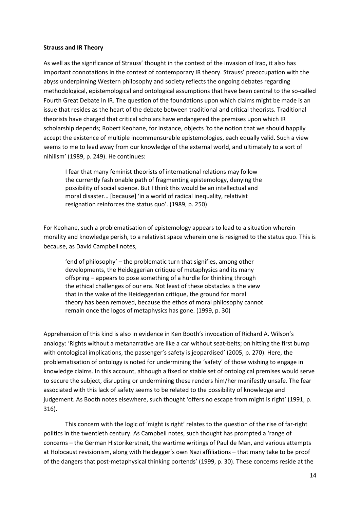#### **Strauss and IR Theory**

As well as the significance of Strauss' thought in the context of the invasion of Iraq, it also has important connotations in the context of contemporary IR theory. Strauss' preoccupation with the abyss underpinning Western philosophy and society reflects the ongoing debates regarding methodological, epistemological and ontological assumptions that have been central to the so-called Fourth Great Debate in IR. The question of the foundations upon which claims might be made is an issue that resides as the heart of the debate between traditional and critical theorists. Traditional theorists have charged that critical scholars have endangered the premises upon which IR scholarship depends; Robert Keohane, for instance, objects 'to the notion that we should happily accept the existence of multiple incommensurable epistemologies, each equally valid. Such a view seems to me to lead away from our knowledge of the external world, and ultimately to a sort of nihilism' (1989, p. 249). He continues:

I fear that many feminist theorists of international relations may follow the currently fashionable path of fragmenting epistemology, denying the possibility of social science. But I think this would be an intellectual and moral disaster… [because] 'in a world of radical inequality, relativist resignation reinforces the status quo'. (1989, p. 250)

For Keohane, such a problematisation of epistemology appears to lead to a situation wherein morality and knowledge perish, to a relativist space wherein one is resigned to the status quo. This is because, as David Campbell notes,

'end of philosophy' – the problematic turn that signifies, among other developments, the Heideggerian critique of metaphysics and its many offspring – appears to pose something of a hurdle for thinking through the ethical challenges of our era. Not least of these obstacles is the view that in the wake of the Heideggerian critique, the ground for moral theory has been removed, because the ethos of moral philosophy cannot remain once the logos of metaphysics has gone. (1999, p. 30)

Apprehension of this kind is also in evidence in Ken Booth's invocation of Richard A. Wilson's analogy: 'Rights without a metanarrative are like a car without seat-belts; on hitting the first bump with ontological implications, the passenger's safety is jeopardised' (2005, p. 270). Here, the problematisation of ontology is noted for undermining the 'safety' of those wishing to engage in knowledge claims. In this account, although a fixed or stable set of ontological premises would serve to secure the subject, disrupting or undermining these renders him/her manifestly unsafe. The fear associated with this lack of safety seems to be related to the possibility of knowledge and judgement. As Booth notes elsewhere, such thought 'offers no escape from might is right' (1991, p. 316).

This concern with the logic of 'might is right' relates to the question of the rise of far-right politics in the twentieth century. As Campbell notes, such thought has prompted a 'range of concerns – the German Historikerstreit, the wartime writings of Paul de Man, and various attempts at Holocaust revisionism, along with Heidegger's own Nazi affiliations – that many take to be proof of the dangers that post-metaphysical thinking portends' (1999, p. 30). These concerns reside at the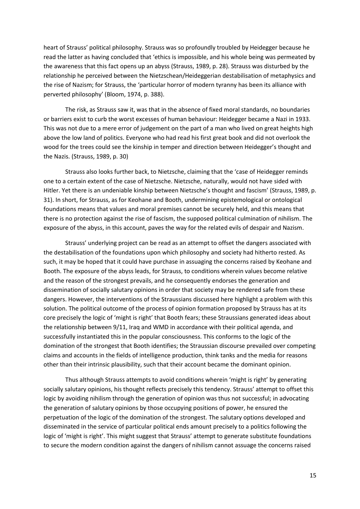heart of Strauss' political philosophy. Strauss was so profoundly troubled by Heidegger because he read the latter as having concluded that 'ethics is impossible, and his whole being was permeated by the awareness that this fact opens up an abyss (Strauss, 1989, p. 28). Strauss was disturbed by the relationship he perceived between the Nietzschean/Heideggerian destabilisation of metaphysics and the rise of Nazism; for Strauss, the 'particular horror of modern tyranny has been its alliance with perverted philosophy' (Bloom, 1974, p. 388).

The risk, as Strauss saw it, was that in the absence of fixed moral standards, no boundaries or barriers exist to curb the worst excesses of human behaviour: Heidegger became a Nazi in 1933. This was not due to a mere error of judgement on the part of a man who lived on great heights high above the low land of politics. Everyone who had read his first great book and did not overlook the wood for the trees could see the kinship in temper and direction between Heidegger's thought and the Nazis. (Strauss, 1989, p. 30)

Strauss also looks further back, to Nietzsche, claiming that the 'case of Heidegger reminds one to a certain extent of the case of Nietzsche. Nietzsche, naturally, would not have sided with Hitler. Yet there is an undeniable kinship between Nietzsche's thought and fascism' (Strauss, 1989, p. 31). In short, for Strauss, as for Keohane and Booth, undermining epistemological or ontological foundations means that values and moral premises cannot be securely held, and this means that there is no protection against the rise of fascism, the supposed political culmination of nihilism. The exposure of the abyss, in this account, paves the way for the related evils of despair and Nazism.

Strauss' underlying project can be read as an attempt to offset the dangers associated with the destabilisation of the foundations upon which philosophy and society had hitherto rested. As such, it may be hoped that it could have purchase in assuaging the concerns raised by Keohane and Booth. The exposure of the abyss leads, for Strauss, to conditions wherein values become relative and the reason of the strongest prevails, and he consequently endorses the generation and dissemination of socially salutary opinions in order that society may be rendered safe from these dangers. However, the interventions of the Straussians discussed here highlight a problem with this solution. The political outcome of the process of opinion formation proposed by Strauss has at its core precisely the logic of 'might is right' that Booth fears; these Straussians generated ideas about the relationship between 9/11, Iraq and WMD in accordance with their political agenda, and successfully instantiated this in the popular consciousness. This conforms to the logic of the domination of the strongest that Booth identifies; the Straussian discourse prevailed over competing claims and accounts in the fields of intelligence production, think tanks and the media for reasons other than their intrinsic plausibility, such that their account became the dominant opinion.

Thus although Strauss attempts to avoid conditions wherein 'might is right' by generating socially salutary opinions, his thought reflects precisely this tendency. Strauss' attempt to offset this logic by avoiding nihilism through the generation of opinion was thus not successful; in advocating the generation of salutary opinions by those occupying positions of power, he ensured the perpetuation of the logic of the domination of the strongest. The salutary options developed and disseminated in the service of particular political ends amount precisely to a politics following the logic of 'might is right'. This might suggest that Strauss' attempt to generate substitute foundations to secure the modern condition against the dangers of nihilism cannot assuage the concerns raised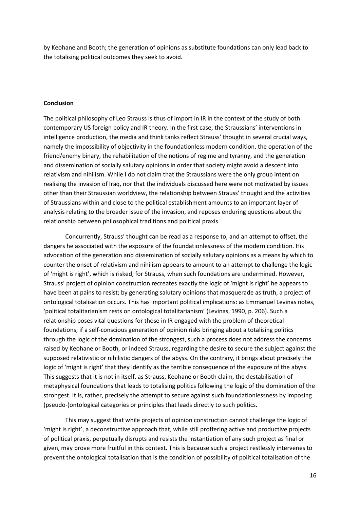by Keohane and Booth; the generation of opinions as substitute foundations can only lead back to the totalising political outcomes they seek to avoid.

#### **Conclusion**

The political philosophy of Leo Strauss is thus of import in IR in the context of the study of both contemporary US foreign policy and IR theory. In the first case, the Straussians' interventions in intelligence production, the media and think tanks reflect Strauss' thought in several crucial ways, namely the impossibility of objectivity in the foundationless modern condition, the operation of the friend/enemy binary, the rehabilitation of the notions of regime and tyranny, and the generation and dissemination of socially salutary opinions in order that society might avoid a descent into relativism and nihilism. While I do not claim that the Straussians were the only group intent on realising the invasion of Iraq, nor that the individuals discussed here were not motivated by issues other than their Straussian worldview, the relationship between Strauss' thought and the activities of Straussians within and close to the political establishment amounts to an important layer of analysis relating to the broader issue of the invasion, and reposes enduring questions about the relationship between philosophical traditions and political praxis.

Concurrently, Strauss' thought can be read as a response to, and an attempt to offset, the dangers he associated with the exposure of the foundationlessness of the modern condition. His advocation of the generation and dissemination of socially salutary opinions as a means by which to counter the onset of relativism and nihilism appears to amount to an attempt to challenge the logic of 'might is right', which is risked, for Strauss, when such foundations are undermined. However, Strauss' project of opinion construction recreates exactly the logic of 'might is right' he appears to have been at pains to resist; by generating salutary opinions that masquerade as truth, a project of ontological totalisation occurs. This has important political implications: as Emmanuel Levinas notes, 'political totalitarianism rests on ontological totalitarianism' (Levinas, 1990, p. 206). Such a relationship poses vital questions for those in IR engaged with the problem of theoretical foundations; if a self-conscious generation of opinion risks bringing about a totalising politics through the logic of the domination of the strongest, such a process does not address the concerns raised by Keohane or Booth, or indeed Strauss, regarding the desire to secure the subject against the supposed relativistic or nihilistic dangers of the abyss. On the contrary, it brings about precisely the logic of 'might is right' that they identify as the terrible consequence of the exposure of the abyss. This suggests that it is not in itself, as Strauss, Keohane or Booth claim, the destabilisation of metaphysical foundations that leads to totalising politics following the logic of the domination of the strongest. It is, rather, precisely the attempt to secure against such foundationlessness by imposing (pseudo-)ontological categories or principles that leads directly to such politics.

This may suggest that while projects of opinion construction cannot challenge the logic of 'might is right', a deconstructive approach that, while still proffering active and productive projects of political praxis, perpetually disrupts and resists the instantiation of any such project as final or given, may prove more fruitful in this context. This is because such a project restlessly intervenes to prevent the ontological totalisation that is the condition of possibility of political totalisation of the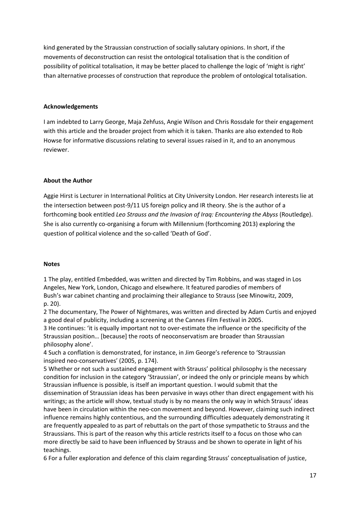kind generated by the Straussian construction of socially salutary opinions. In short, if the movements of deconstruction can resist the ontological totalisation that is the condition of possibility of political totalisation, it may be better placed to challenge the logic of 'might is right' than alternative processes of construction that reproduce the problem of ontological totalisation.

# **Acknowledgements**

I am indebted to Larry George, Maja Zehfuss, Angie Wilson and Chris Rossdale for their engagement with this article and the broader project from which it is taken. Thanks are also extended to Rob Howse for informative discussions relating to several issues raised in it, and to an anonymous reviewer.

## **About the Author**

Aggie Hirst is Lecturer in International Politics at City University London. Her research interests lie at the intersection between post-9/11 US foreign policy and IR theory. She is the author of a forthcoming book entitled *Leo Strauss and the Invasion of Iraq: Encountering the Abyss* (Routledge). She is also currently co-organising a forum with Millennium (forthcoming 2013) exploring the question of political violence and the so-called 'Death of God'.

#### **Notes**

1 The play, entitled Embedded, was written and directed by Tim Robbins, and was staged in Los Angeles, New York, London, Chicago and elsewhere. It featured parodies of members of Bush's war cabinet chanting and proclaiming their allegiance to Strauss (see Minowitz, 2009, p. 20).

2 The documentary, The Power of Nightmares, was written and directed by Adam Curtis and enjoyed a good deal of publicity, including a screening at the Cannes Film Festival in 2005.

3 He continues: 'it is equally important not to over-estimate the influence or the specificity of the Straussian position… [because] the roots of neoconservatism are broader than Straussian philosophy alone'.

4 Such a conflation is demonstrated, for instance, in Jim George's reference to 'Straussian inspired neo-conservatives' (2005, p. 174).

5 Whether or not such a sustained engagement with Strauss' political philosophy is the necessary condition for inclusion in the category 'Straussian', or indeed the only or principle means by which Straussian influence is possible, is itself an important question. I would submit that the dissemination of Straussian ideas has been pervasive in ways other than direct engagement with his writings; as the article will show, textual study is by no means the only way in which Strauss' ideas have been in circulation within the neo-con movement and beyond. However, claiming such indirect influence remains highly contentious, and the surrounding difficulties adequately demonstrating it are frequently appealed to as part of rebuttals on the part of those sympathetic to Strauss and the Straussians. This is part of the reason why this article restricts itself to a focus on those who can more directly be said to have been influenced by Strauss and be shown to operate in light of his teachings.

6 For a fuller exploration and defence of this claim regarding Strauss' conceptualisation of justice,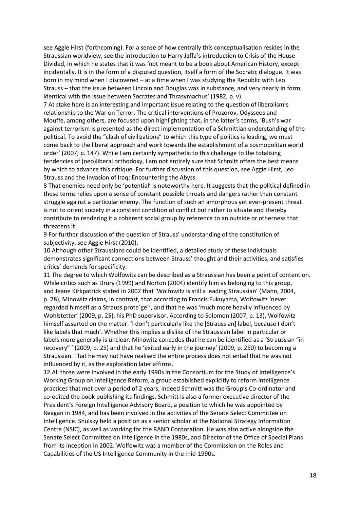see Aggie Hirst (forthcoming). For a sense of how centrally this conceptualisation resides in the Straussian worldview, see the introduction to Harry Jaffa's introduction to Crisis of the House Divided, in which he states that it was 'not meant to be a book about American History, except incidentally. It is in the form of a disputed question, itself a form of the Socratic dialogue. It was born in my mind when I discovered – at a time when I was studying the Republic with Leo Strauss – that the issue between Lincoln and Douglas was in substance, and very nearly in form, identical with the issue between Socrates and Thrasymachus' (1982, p. v).

7 At stake here is an interesting and important issue relating to the question of liberalism's relationship to the War on Terror. The critical interventions of Prozorov, Odysseos and Mouffe, among others, are focused upon highlighting that, in the latter's terms, 'Bush's war against terrorism is presented as the direct implementation of a Schmittian understanding of the political. To avoid the "clash of civilizations" to which this type of politics is leading, we must come back to the liberal approach and work towards the establishment of a cosmopolitan world order' (2007, p. 147). While I am certainly sympathetic to this challenge to the totalising tendencies of (neo)liberal orthodoxy, I am not entirely sure that Schmitt offers the best means by which to advance this critique. For further discussion of this question, see Aggie Hirst, Leo Strauss and the Invasion of Iraq: Encountering the Abyss.

8 That enemies need only be 'potential' is noteworthy here. It suggests that the political defined in these terms relies upon a sense of constant possible threats and dangers rather than constant struggle against a particular enemy. The function of such an amorphous yet ever-present threat is not to orient society in a constant condition of conflict but rather to situate and thereby contribute to rendering it a coherent social group by reference to an outside or otherness that threatens it.

9 For further discussion of the question of Strauss' understanding of the constitution of subjectivity, see Aggie Hirst (2010).

10 Although other Straussians could be identified, a detailed study of these individuals demonstrates significant connections between Strauss' thought and their activities, and satisfies critics' demands for specificity.

11 The degree to which Wolfowitz can be described as a Straussian has been a point of contention. While critics such as Drury (1999) and Norton (2004) identify him as belonging to this group, and Jeane Kirkpatrick stated in 2002 that 'Wolfowitz is still a leading Straussian' (Mann, 2004, p. 28), Minowitz claims, in contrast, that according to Francis Fukuyama, Wolfowitz 'never regarded himself as a Strauss prote´ge´', and that he was 'much more heavily influenced by Wohlstetter' (2009, p. 25), his PhD supervisor. According to Solomon (2007, p. 13), Wolfowitz himself asserted on the matter: 'I don't particularly like the [Straussian] label, because I don't like labels that much'. Whether this implies a dislike of the Straussian label in particular or labels more generally is unclear. Minowitz concedes that he can be identified as a 'Straussian "in recovery" ' (2009, p. 25) and that he 'exited early in the journey' (2009, p. 250) to becoming a Straussian. That he may not have realised the entire process does not entail that he was not influenced by it, as the exploration later affirms.

12 All three were involved in the early 1990s in the Consortium for the Study of Intelligence's Working Group on Intelligence Reform, a group established explicitly to reform intelligence practices that met over a period of 2 years, indeed Schmitt was the Group's Co-ordinator and co-edited the book publishing its findings. Schmitt is also a former executive director of the President's Foreign Intelligence Advisory Board, a position to which he was appointed by Reagan in 1984, and has been involved in the activities of the Senate Select Committee on Intelligence. Shulsky held a position as a senior scholar at the National Strategy Information Centre (NSIC), as well as working for the RAND Corporation. He was also active alongside the Senate Select Committee on Intelligence in the 1980s, and Director of the Office of Special Plans from its inception in 2002. Wolfowitz was a member of the Commission on the Roles and Capabilities of the US Intelligence Community in the mid-1990s.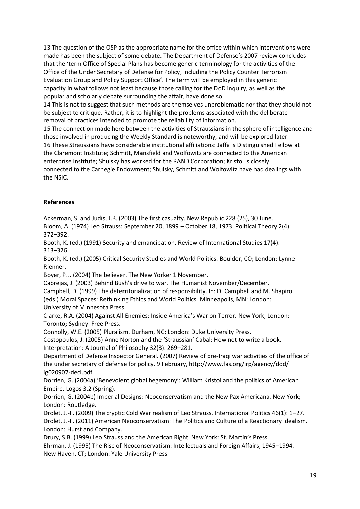13 The question of the OSP as the appropriate name for the office within which interventions were made has been the subject of some debate. The Department of Defense's 2007 review concludes that the 'term Office of Special Plans has become generic terminology for the activities of the Office of the Under Secretary of Defense for Policy, including the Policy Counter Terrorism Evaluation Group and Policy Support Office'. The term will be employed in this generic capacity in what follows not least because those calling for the DoD inquiry, as well as the popular and scholarly debate surrounding the affair, have done so.

14 This is not to suggest that such methods are themselves unproblematic nor that they should not be subject to critique. Rather, it is to highlight the problems associated with the deliberate removal of practices intended to promote the reliability of information.

15 The connection made here between the activities of Straussians in the sphere of intelligence and those involved in producing the Weekly Standard is noteworthy, and will be explored later. 16 These Straussians have considerable institutional affiliations: Jaffa is Distinguished Fellow at the Claremont Institute; Schmitt, Mansfield and Wolfowitz are connected to the American enterprise Institute; Shulsky has worked for the RAND Corporation; Kristol is closely connected to the Carnegie Endowment; Shulsky, Schmitt and Wolfowitz have had dealings with the NSIC.

# **References**

Ackerman, S. and Judis, J.B. (2003) The first casualty. New Republic 228 (25), 30 June.

Bloom, A. (1974) Leo Strauss: September 20, 1899 – October 18, 1973. Political Theory 2(4): 372–392.

Booth, K. (ed.) (1991) Security and emancipation. Review of International Studies 17(4): 313–326.

Booth, K. (ed.) (2005) Critical Security Studies and World Politics. Boulder, CO; London: Lynne Rienner.

Boyer, P.J. (2004) The believer. The New Yorker 1 November.

Cabrejas, J. (2003) Behind Bush's drive to war. The Humanist November/December.

Campbell, D. (1999) The deterritorialization of responsibility. In: D. Campbell and M. Shapiro (eds.) Moral Spaces: Rethinking Ethics and World Politics. Minneapolis, MN; London: University of Minnesota Press.

Clarke, R.A. (2004) Against All Enemies: Inside America's War on Terror. New York; London; Toronto; Sydney: Free Press.

Connolly, W.E. (2005) Pluralism. Durham, NC; London: Duke University Press.

Costopoulos, J. (2005) Anne Norton and the 'Straussian' Cabal: How not to write a book. Interpretation: A Journal of Philosophy 32(3): 269–281.

Department of Defense Inspector General. (2007) Review of pre-Iraqi war activities of the office of the under secretary of defense for policy. 9 February, http://www.fas.org/irp/agency/dod/ ig020907-decl.pdf.

Dorrien, G. (2004a) 'Benevolent global hegemony': William Kristol and the politics of American Empire. Logos 3.2 (Spring).

Dorrien, G. (2004b) Imperial Designs: Neoconservatism and the New Pax Americana. New York; London: Routledge.

Drolet, J.-F. (2009) The cryptic Cold War realism of Leo Strauss. International Politics 46(1): 1–27. Drolet, J.-F. (2011) American Neoconservatism: The Politics and Culture of a Reactionary Idealism. London: Hurst and Company.

Drury, S.B. (1999) Leo Strauss and the American Right. New York: St. Martin's Press.

Ehrman, J. (1995) The Rise of Neoconservatism: Intellectuals and Foreign Affairs, 1945–1994. New Haven, CT; London: Yale University Press.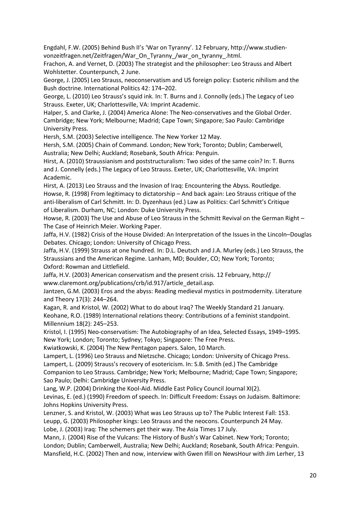Engdahl, F.W. (2005) Behind Bush II's 'War on Tyranny'. 12 February, http://www.studienvonzeitfragen.net/Zeitfragen/War\_On\_Tyranny\_/war\_on\_tyranny\_.html.

Frachon, A. and Vernet, D. (2003) The strategist and the philosopher: Leo Strauss and Albert Wohlstetter. Counterpunch, 2 June.

George, J. (2005) Leo Strauss, neoconservatism and US foreign policy: Esoteric nihilism and the Bush doctrine. International Politics 42: 174–202.

George, L. (2010) Leo Strauss's squid ink. In: T. Burns and J. Connolly (eds.) The Legacy of Leo Strauss. Exeter, UK; Charlottesville, VA: Imprint Academic.

Halper, S. and Clarke, J. (2004) America Alone: The Neo-conservatives and the Global Order. Cambridge; New York; Melbourne; Madrid; Cape Town; Singapore; Sao Paulo: Cambridge University Press.

Hersh, S.M. (2003) Selective intelligence. The New Yorker 12 May.

Hersh, S.M. (2005) Chain of Command. London; New York; Toronto; Dublin; Camberwell, Australia; New Delhi; Auckland; Rosebank, South Africa: Penguin.

Hirst, A. (2010) Straussianism and poststructuralism: Two sides of the same coin? In: T. Burns and J. Connelly (eds.) The Legacy of Leo Strauss. Exeter, UK; Charlottesville, VA: Imprint Academic.

Hirst, A. (2013) Leo Strauss and the Invasion of Iraq: Encountering the Abyss. Routledge. Howse, R. (1998) From legitimacy to dictatorship – And back again: Leo Strauss critique of the anti-liberalism of Carl Schmitt. In: D. Dyzenhaus (ed.) Law as Politics: Carl Schmitt's Critique of Liberalism. Durham, NC; London: Duke University Press.

Howse, R. (2003) The Use and Abuse of Leo Strauss in the Schmitt Revival on the German Right -The Case of Heinrich Meier. Working Paper.

Jaffa, H.V. (1982) Crisis of the House Divided: An Interpretation of the Issues in the Lincoln–Douglas Debates. Chicago; London: University of Chicago Press.

Jaffa, H.V. (1999) Strauss at one hundred. In: D.L. Deutsch and J.A. Murley (eds.) Leo Strauss, the Straussians and the American Regime. Lanham, MD; Boulder, CO; New York; Toronto; Oxford: Rowman and Littlefield.

Jaffa, H.V. (2003) American conservatism and the present crisis. 12 February, http:// www.claremont.org/publications/crb/id.917/article\_detail.asp.

Jantzen, G.M. (2003) Eros and the abyss: Reading medieval mystics in postmodernity. Literature and Theory 17(3): 244–264.

Kagan, R. and Kristol, W. (2002) What to do about Iraq? The Weekly Standard 21 January. Keohane, R.O. (1989) International relations theory: Contributions of a feminist standpoint. Millennium 18(2): 245–253.

Kristol, I. (1995) Neo-conservatism: The Autobiography of an Idea, Selected Essays, 1949–1995. New York; London; Toronto; Sydney; Tokyo; Singapore: The Free Press.

Kwiatkowski, K. (2004) The New Pentagon papers. Salon, 10 March.

Lampert, L. (1996) Leo Strauss and Nietzsche. Chicago; London: University of Chicago Press.

Lampert, L. (2009) Strauss's recovery of esotericism. In: S.B. Smith (ed.) The Cambridge

Companion to Leo Strauss. Cambridge; New York; Melbourne; Madrid; Cape Town; Singapore; Sao Paulo; Delhi: Cambridge University Press.

Lang, W.P. (2004) Drinking the Kool-Aid. Middle East Policy Council Journal XI(2).

Levinas, E. (ed.) (1990) Freedom of speech. In: Difficult Freedom: Essays on Judaism. Baltimore: Johns Hopkins University Press.

Lenzner, S. and Kristol, W. (2003) What was Leo Strauss up to? The Public Interest Fall: 153. Leupp, G. (2003) Philosopher kings: Leo Strauss and the neocons. Counterpunch 24 May. Lobe, J. (2003) Iraq: The schemers get their way. The Asia Times 17 July.

Mann, J. (2004) Rise of the Vulcans: The History of Bush's War Cabinet. New York; Toronto; London; Dublin; Camberwell, Australia; New Delhi; Auckland; Rosebank, South Africa: Penguin.

Mansfield, H.C. (2002) Then and now, interview with Gwen Ifill on NewsHour with Jim Lerher, 13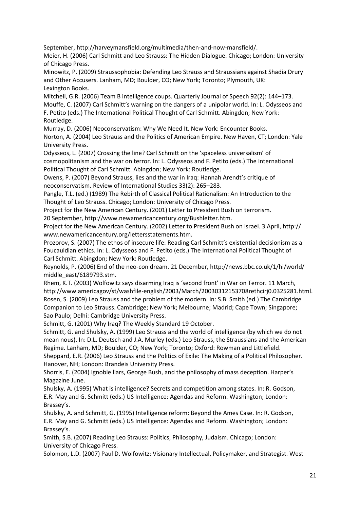September, http://harveymansfield.org/multimedia/then-and-now-mansfield/.

Meier, H. (2006) Carl Schmitt and Leo Strauss: The Hidden Dialogue. Chicago; London: University of Chicago Press.

Minowitz, P. (2009) Straussophobia: Defending Leo Strauss and Straussians against Shadia Drury and Other Accusers. Lanham, MD; Boulder, CO; New York; Toronto; Plymouth, UK: Lexington Books.

Mitchell, G.R. (2006) Team B intelligence coups. Quarterly Journal of Speech 92(2): 144–173.

Mouffe, C. (2007) Carl Schmitt's warning on the dangers of a unipolar world. In: L. Odysseos and F. Petito (eds.) The International Political Thought of Carl Schmitt. Abingdon; New York: Routledge.

Murray, D. (2006) Neoconservatism: Why We Need It. New York: Encounter Books.

Norton, A. (2004) Leo Strauss and the Politics of American Empire. New Haven, CT; London: Yale University Press.

Odysseos, L. (2007) Crossing the line? Carl Schmitt on the 'spaceless universalism' of cosmopolitanism and the war on terror. In: L. Odysseos and F. Petito (eds.) The International Political Thought of Carl Schmitt. Abingdon; New York: Routledge.

Owens, P. (2007) Beyond Strauss, lies and the war in Iraq: Hannah Arendt's critique of neoconservatism. Review of International Studies 33(2): 265–283.

Pangle, T.L. (ed.) (1989) The Rebirth of Classical Political Rationalism: An Introduction to the Thought of Leo Strauss. Chicago; London: University of Chicago Press.

Project for the New American Century. (2001) Letter to President Bush on terrorism.

20 September, http://www.newamericancentury.org/Bushletter.htm.

Project for the New American Century. (2002) Letter to President Bush on Israel. 3 April, http:// www.newamericancentury.org/lettersstatements.htm.

Prozorov, S. (2007) The ethos of insecure life: Reading Carl Schmitt's existential decisionism as a Foucauldian ethics. In: L. Odysseos and F. Petito (eds.) The International Political Thought of Carl Schmitt. Abingdon; New York: Routledge.

Reynolds, P. (2006) End of the neo-con dream. 21 December, http://news.bbc.co.uk/1/hi/world/ middle\_east/6189793.stm.

Rhem, K.T. (2003) Wolfowitz says disarming Iraq is 'second front' in War on Terror. 11 March, http://www.americagov/st/washfile-english/2003/March/20030312153708rethcirj0.0325281.html. Rosen, S. (2009) Leo Strauss and the problem of the modern. In: S.B. Smith (ed.) The Cambridge Companion to Leo Strauss. Cambridge; New York; Melbourne; Madrid; Cape Town; Singapore; Sao Paulo; Delhi: Cambridge University Press.

Schmitt, G. (2001) Why Iraq? The Weekly Standard 19 October.

Schmitt, G. and Shulsky, A. (1999) Leo Strauss and the world of intelligence (by which we do not mean nous). In: D.L. Deutsch and J.A. Murley (eds.) Leo Strauss, the Straussians and the American Regime. Lanham, MD; Boulder, CO; New York; Toronto; Oxford: Rowman and Littlefield. Sheppard, E.R. (2006) Leo Strauss and the Politics of Exile: The Making of a Political Philosopher.

Hanover, NH; London: Brandeis University Press.

Shorris, E. (2004) Ignoble liars, George Bush, and the philosophy of mass deception. Harper's Magazine June.

Shulsky, A. (1995) What is intelligence? Secrets and competition among states. In: R. Godson, E.R. May and G. Schmitt (eds.) US Intelligence: Agendas and Reform. Washington; London: Brassey's.

Shulsky, A. and Schmitt, G. (1995) Intelligence reform: Beyond the Ames Case. In: R. Godson, E.R. May and G. Schmitt (eds.) US Intelligence: Agendas and Reform. Washington; London: Brassey's.

Smith, S.B. (2007) Reading Leo Strauss: Politics, Philosophy, Judaism. Chicago; London: University of Chicago Press.

Solomon, L.D. (2007) Paul D. Wolfowitz: Visionary Intellectual, Policymaker, and Strategist. West